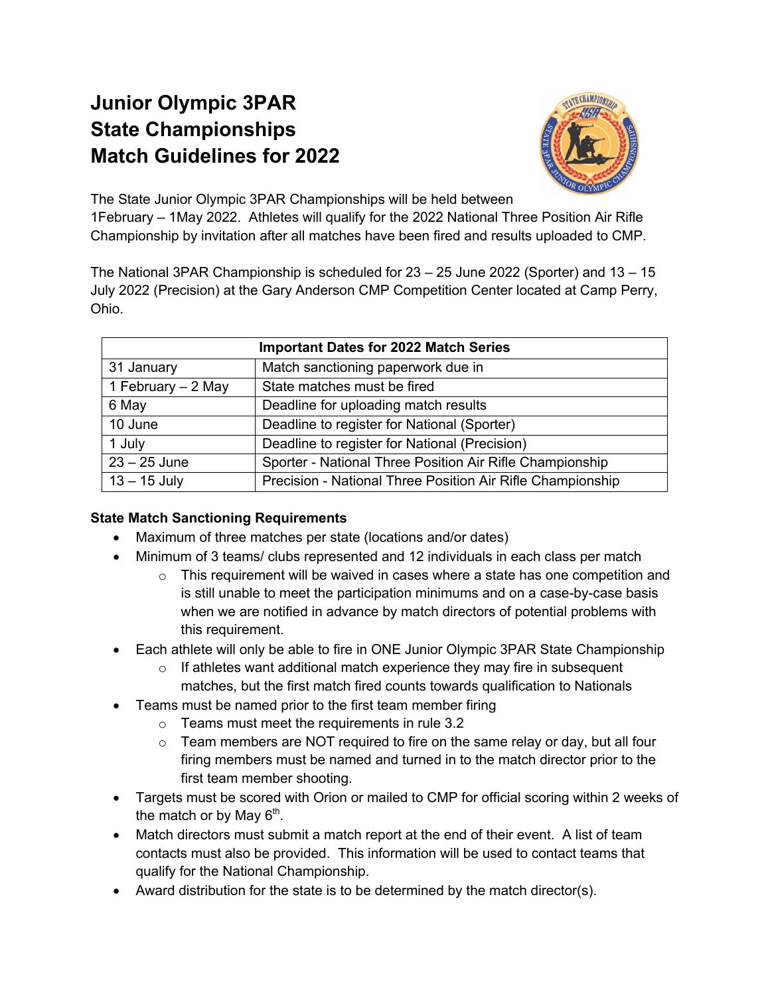## **Junior Olympic 3PAR State Championships Match Guidelines for 2022**



The State Junior Olympic 3PAR Championships will be held between 1February – 1May 2022. Athletes will qualify for the 2022 National Three Position Air Rifle Championship by invitation after all matches have been fired and results uploaded to CMP.

The National 3PAR Championship is scheduled for 23 – 25 June 2022 (Sporter) and 13 – 15 July 2022 (Precision) at the Gary Anderson CMP Competition Center located at Camp Perry, Ohio.

| <b>Important Dates for 2022 Match Series</b> |                                                            |  |
|----------------------------------------------|------------------------------------------------------------|--|
| 31 January                                   | Match sanctioning paperwork due in                         |  |
| 1 February - 2 May                           | State matches must be fired                                |  |
| 6 May                                        | Deadline for uploading match results                       |  |
| 10 June                                      | Deadline to register for National (Sporter)                |  |
| 1 July                                       | Deadline to register for National (Precision)              |  |
| $23 - 25$ June                               | Sporter - National Three Position Air Rifle Championship   |  |
| $13 - 15$ July                               | Precision - National Three Position Air Rifle Championship |  |

## **State Match Sanctioning Requirements**

- Maximum of three matches per state (locations and/or dates)
- Minimum of 3 teams/ clubs represented and 12 individuals in each class per match
	- $\circ$  This requirement will be waived in cases where a state has one competition and is still unable to meet the participation minimums and on a case-by-case basis when we are notified in advance by match directors of potential problems with this requirement.
- Each athlete will only be able to fire in ONE Junior Olympic 3PAR State Championship
	- $\circ$  If athletes want additional match experience they may fire in subsequent matches, but the first match fired counts towards qualification to Nationals
- Teams must be named prior to the first team member firing
	- o Teams must meet the requirements in rule 3.2
	- $\circ$  Team members are NOT required to fire on the same relay or day, but all four firing members must be named and turned in to the match director prior to the first team member shooting.
- Targets must be scored with Orion or mailed to CMP for official scoring within 2 weeks of the match or by May  $6<sup>th</sup>$ .
- Match directors must submit a match report at the end of their event. A list of team contacts must also be provided. This information will be used to contact teams that qualify for the National Championship.
- Award distribution for the state is to be determined by the match director(s).